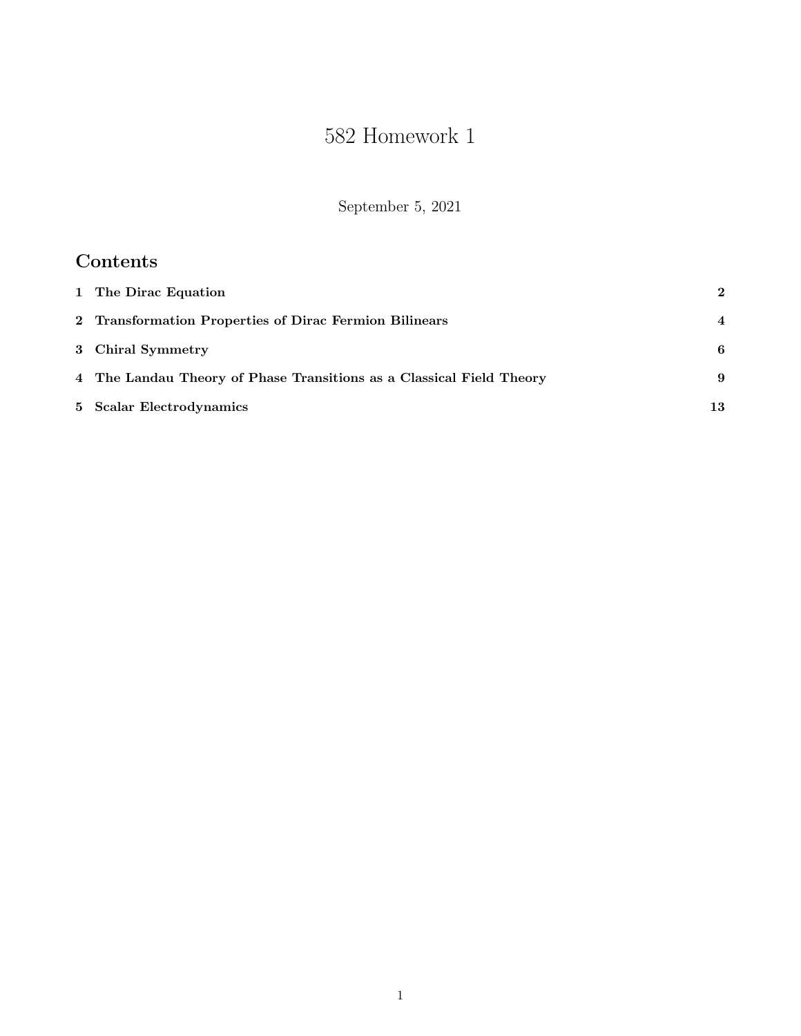# 582 Homework 1

September 5, 2021

## Contents

| 1 The Dirac Equation                                                 | $\bf{2}$       |
|----------------------------------------------------------------------|----------------|
| 2 Transformation Properties of Dirac Fermion Bilinears               | $\overline{4}$ |
| 3 Chiral Symmetry                                                    | 6              |
| 4 The Landau Theory of Phase Transitions as a Classical Field Theory | 9              |
| 5 Scalar Electrodynamics                                             | 13             |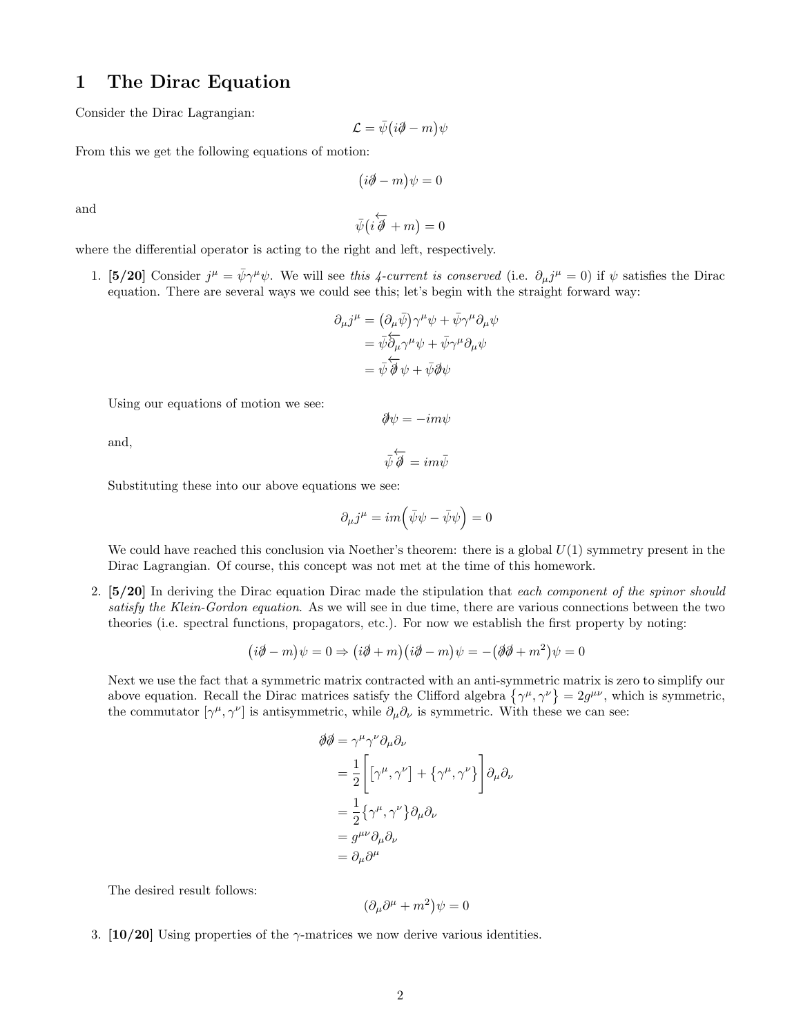#### 1 The Dirac Equation

Consider the Dirac Lagrangian:

$$
\mathcal{L}=\bar{\psi}(i\partial\!\!\!/-m)\psi
$$

From this we get the following equations of motion:

$$
(i\partial\!\!\!/-m)\psi=0
$$

and

 $\bar{\psi}(i$  $\overleftarrow{\partial}$  + m = 0

- where the differential operator is acting to the right and left, respectively.
	- 1. [5/20] Consider  $j^{\mu} = \bar{\psi}\gamma^{\mu}\psi$ . We will see this 4-current is conserved (i.e.  $\partial_{\mu}j^{\mu} = 0$ ) if  $\psi$  satisfies the Dirac equation. There are several ways we could see this; let's begin with the straight forward way:

$$
\partial_{\mu}j^{\mu} = (\partial_{\mu}\bar{\psi})\gamma^{\mu}\psi + \bar{\psi}\gamma^{\mu}\partial_{\mu}\psi
$$
  
=  $\bar{\psi}\overleftarrow{\partial_{\mu}}\gamma^{\mu}\psi + \bar{\psi}\gamma^{\mu}\partial_{\mu}\psi$   
=  $\bar{\psi}\overleftarrow{\partial}\psi + \bar{\psi}\partial\psi$ 

Using our equations of motion we see:

 $\partial \psi = -im\psi$ 

and,

$$
\bar{\psi}\overleftarrow{\partial} = im\bar{\psi}
$$

Substituting these into our above equations we see:

$$
\partial_{\mu}j^{\mu}=im\Big(\bar{\psi}\psi-\bar{\psi}\psi\Big)=0
$$

We could have reached this conclusion via Noether's theorem: there is a global  $U(1)$  symmetry present in the Dirac Lagrangian. Of course, this concept was not met at the time of this homework.

2. [5/20] In deriving the Dirac equation Dirac made the stipulation that each component of the spinor should satisfy the Klein-Gordon equation. As we will see in due time, there are various connections between the two theories (i.e. spectral functions, propagators, etc.). For now we establish the first property by noting:

$$
(i\partial \!\!\!/-m)\psi = 0 \Rightarrow (i\partial \!\!\!/-m)(i\partial \!\!\!/-m)\psi = -(\partial \!\!\!/\partial +m^2)\psi = 0
$$

Next we use the fact that a symmetric matrix contracted with an anti-symmetric matrix is zero to simplify our above equation. Recall the Dirac matrices satisfy the Clifford algebra  $\{\gamma^{\mu}, \gamma^{\nu}\} = 2g^{\mu\nu}$ , which is symmetric, the commutator  $[\gamma^{\mu}, \gamma^{\nu}]$  is antisymmetric, while  $\partial_{\mu} \partial_{\nu}$  is symmetric. With these we can see:

$$
\begin{split} \partial \partial \bar{\partial} &= \gamma^{\mu} \gamma^{\nu} \partial_{\mu} \partial_{\nu} \\ &= \frac{1}{2} \Bigg[ \Big[ \gamma^{\mu}, \gamma^{\nu} \Big] + \Big\{ \gamma^{\mu}, \gamma^{\nu} \Big\} \Bigg] \partial_{\mu} \partial_{\nu} \\ &= \frac{1}{2} \Big\{ \gamma^{\mu}, \gamma^{\nu} \Big\} \partial_{\mu} \partial_{\nu} \\ &= g^{\mu \nu} \partial_{\mu} \partial_{\nu} \\ &= \partial_{\mu} \partial^{\mu} \end{split}
$$

The desired result follows:

$$
(\partial_{\mu}\partial^{\mu} + m^{2})\psi = 0
$$

3. [10/20] Using properties of the  $\gamma$ -matrices we now derive various identities.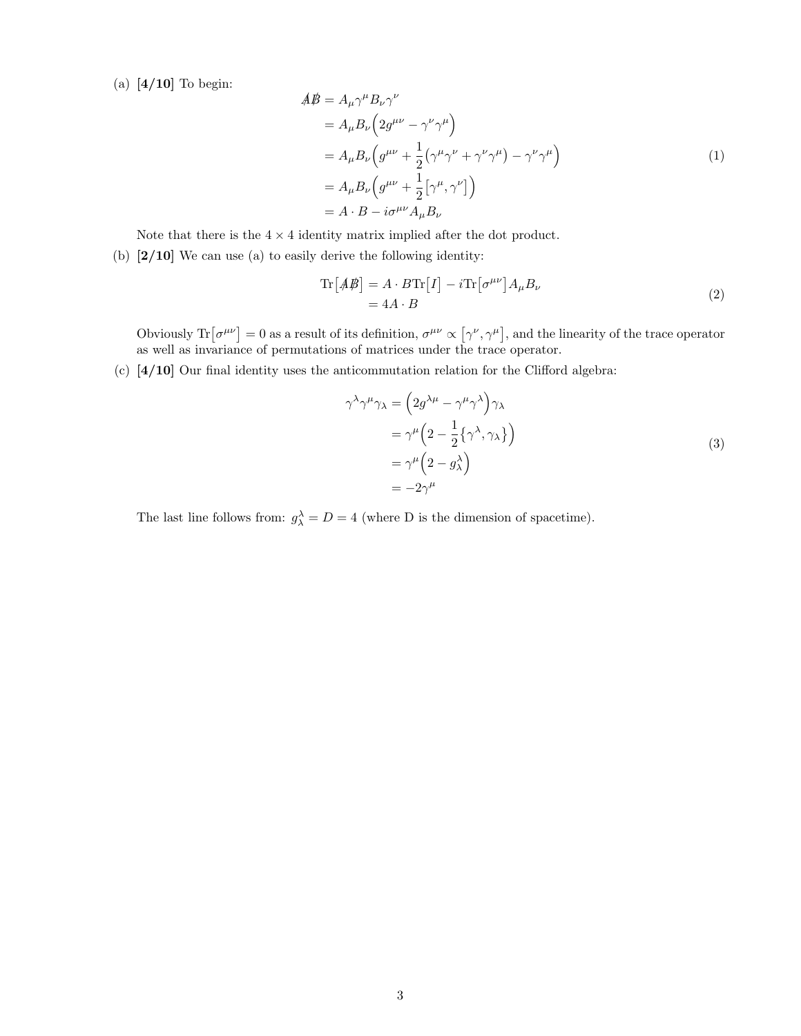(a) [4/10] To begin:

$$
\begin{aligned}\nA\ddot{\mathcal{B}} &= A_{\mu}\gamma^{\mu}B_{\nu}\gamma^{\nu} \\
&= A_{\mu}B_{\nu}\left(2g^{\mu\nu} - \gamma^{\nu}\gamma^{\mu}\right) \\
&= A_{\mu}B_{\nu}\left(g^{\mu\nu} + \frac{1}{2}\left(\gamma^{\mu}\gamma^{\nu} + \gamma^{\nu}\gamma^{\mu}\right) - \gamma^{\nu}\gamma^{\mu}\right) \\
&= A_{\mu}B_{\nu}\left(g^{\mu\nu} + \frac{1}{2}\left[\gamma^{\mu}, \gamma^{\nu}\right]\right) \\
&= A \cdot B - i\sigma^{\mu\nu}A_{\mu}B_{\nu}\n\end{aligned} \tag{1}
$$

Note that there is the  $4 \times 4$  identity matrix implied after the dot product.

(b)  $[2/10]$  We can use (a) to easily derive the following identity:

$$
\operatorname{Tr}\left[\mathcal{A}\mathcal{B}\right] = A \cdot B \operatorname{Tr}\left[I\right] - i \operatorname{Tr}\left[\sigma^{\mu\nu}\right] A_{\mu} B_{\nu}
$$
\n
$$
= 4A \cdot B \tag{2}
$$

Obviously  $\text{Tr}[\sigma^{\mu\nu}] = 0$  as a result of its definition,  $\sigma^{\mu\nu} \propto [\gamma^\nu, \gamma^\mu]$ , and the linearity of the trace operator as well as invariance of permutations of matrices under the trace operator.

(c) [4/10] Our final identity uses the anticommutation relation for the Clifford algebra:

$$
\gamma^{\lambda}\gamma^{\mu}\gamma_{\lambda} = \left(2g^{\lambda\mu} - \gamma^{\mu}\gamma^{\lambda}\right)\gamma_{\lambda}
$$
  
=\gamma^{\mu}\left(2 - \frac{1}{2}\{\gamma^{\lambda}, \gamma\_{\lambda}\}\right)  
=\gamma^{\mu}\left(2 - g\_{\lambda}^{\lambda}\right)  
= -2\gamma^{\mu} (9 - g\_{\lambda}^{\lambda}) \qquad (3)

The last line follows from:  $g_{\lambda}^{\lambda} = D = 4$  (where D is the dimension of spacetime).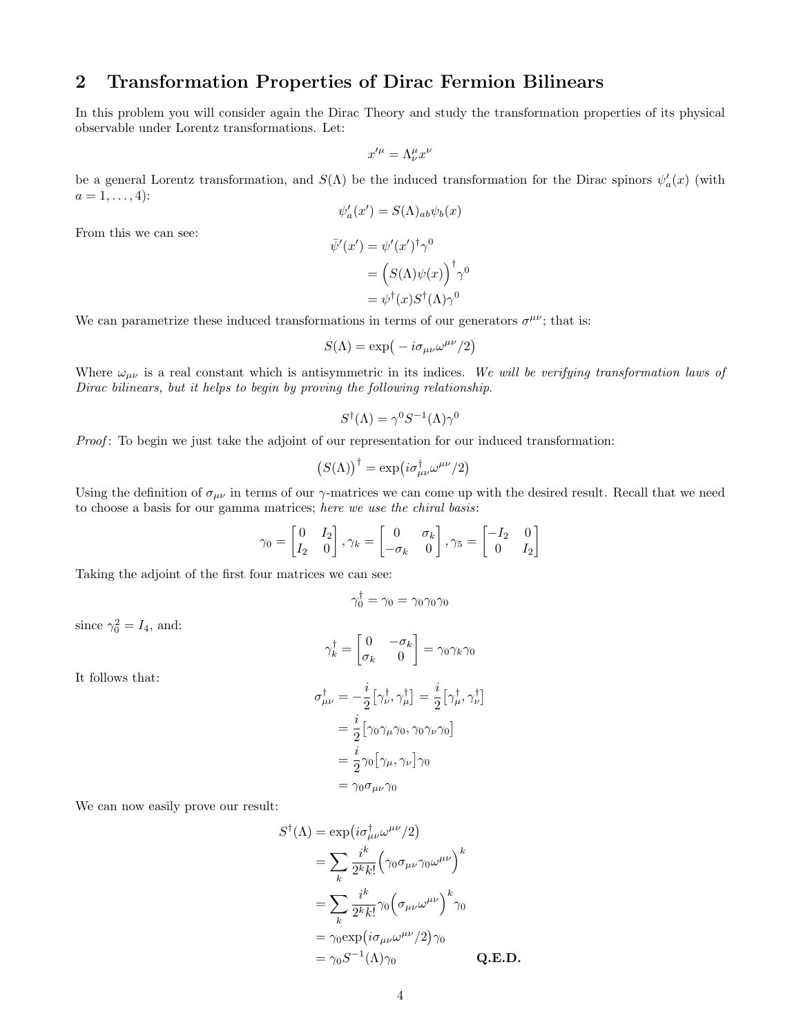## 2 Transformation Properties of Dirac Fermion Bilinears

In this problem you will consider again the Dirac Theory and study the transformation properties of its physical observable under Lorentz transformations. Let:

$$
x'^\mu = \Lambda^\mu_\nu x^\nu
$$

be a general Lorentz transformation, and  $S(\Lambda)$  be the induced transformation for the Dirac spinors  $\psi_a'(x)$  (with  $a = 1, \ldots, 4$ :

$$
\psi'_a(x') = S(\Lambda)_{ab}\psi_b(x)
$$

$$
\bar{\psi}'(x') = \psi'(x')^{\dagger}\gamma^0
$$

From this we can see:

$$
= (S(\Lambda)\psi(x))^{\dagger} \gamma^{0}
$$
  
=  $\psi^{\dagger}(x)S^{\dagger}(\Lambda)\gamma^{0}$ 

We can parametrize these induced transformations in terms of our generators  $\sigma^{\mu\nu}$ ; that is:

$$
S(\Lambda) = \exp(-i\sigma_{\mu\nu}\omega^{\mu\nu}/2)
$$

Where  $\omega_{\mu\nu}$  is a real constant which is antisymmetric in its indices. We will be verifying transformation laws of Dirac bilinears, but it helps to begin by proving the following relationship.

$$
S^{\dagger}(\Lambda) = \gamma^0 S^{-1}(\Lambda) \gamma^0
$$

Proof: To begin we just take the adjoint of our representation for our induced transformation:

$$
\left(S(\Lambda)\right)^{\dagger}=\exp\left(i\sigma_{\mu\nu}^{\dagger}\omega^{\mu\nu}/2\right)
$$

Using the definition of  $\sigma_{\mu\nu}$  in terms of our  $\gamma$ -matrices we can come up with the desired result. Recall that we need to choose a basis for our gamma matrices; here we use the chiral basis:

$$
\gamma_0 = \begin{bmatrix} 0 & I_2 \\ I_2 & 0 \end{bmatrix}, \gamma_k = \begin{bmatrix} 0 & \sigma_k \\ -\sigma_k & 0 \end{bmatrix}, \gamma_5 = \begin{bmatrix} -I_2 & 0 \\ 0 & I_2 \end{bmatrix}
$$

Taking the adjoint of the first four matrices we can see:

$$
\gamma_0^\dagger = \gamma_0 = \gamma_0 \gamma_0 \gamma_0
$$

since  $\gamma_0^2 = I_4$ , and:

$$
\gamma_k^{\dagger} = \begin{bmatrix} 0 & -\sigma_k \\ \sigma_k & 0 \end{bmatrix} = \gamma_0 \gamma_k \gamma_0
$$

It follows that:

$$
\sigma_{\mu\nu}^{\dagger} = -\frac{i}{2} \left[ \gamma_{\nu}^{\dagger}, \gamma_{\mu}^{\dagger} \right] = \frac{i}{2} \left[ \gamma_{\mu}^{\dagger}, \gamma_{\nu}^{\dagger} \right]
$$

$$
= \frac{i}{2} \left[ \gamma_0 \gamma_{\mu} \gamma_0, \gamma_0 \gamma_{\nu} \gamma_0 \right]
$$

$$
= \frac{i}{2} \gamma_0 \left[ \gamma_{\mu}, \gamma_{\nu} \right] \gamma_0
$$

$$
= \gamma_0 \sigma_{\mu\nu} \gamma_0
$$

We can now easily prove our result:

$$
S^{\dagger}(\Lambda) = \exp\left(i\sigma_{\mu\nu}^{\dagger}\omega^{\mu\nu}/2\right)
$$
  
\n
$$
= \sum_{k} \frac{i^{k}}{2^{k}k!} \left(\gamma_{0}\sigma_{\mu\nu}\gamma_{0}\omega^{\mu\nu}\right)^{k}
$$
  
\n
$$
= \sum_{k} \frac{i^{k}}{2^{k}k!} \gamma_{0} \left(\sigma_{\mu\nu}\omega^{\mu\nu}\right)^{k} \gamma_{0}
$$
  
\n
$$
= \gamma_{0} \exp\left(i\sigma_{\mu\nu}\omega^{\mu\nu}/2\right) \gamma_{0}
$$
  
\n
$$
= \gamma_{0} S^{-1}(\Lambda) \gamma_{0}
$$
 Q.E.D.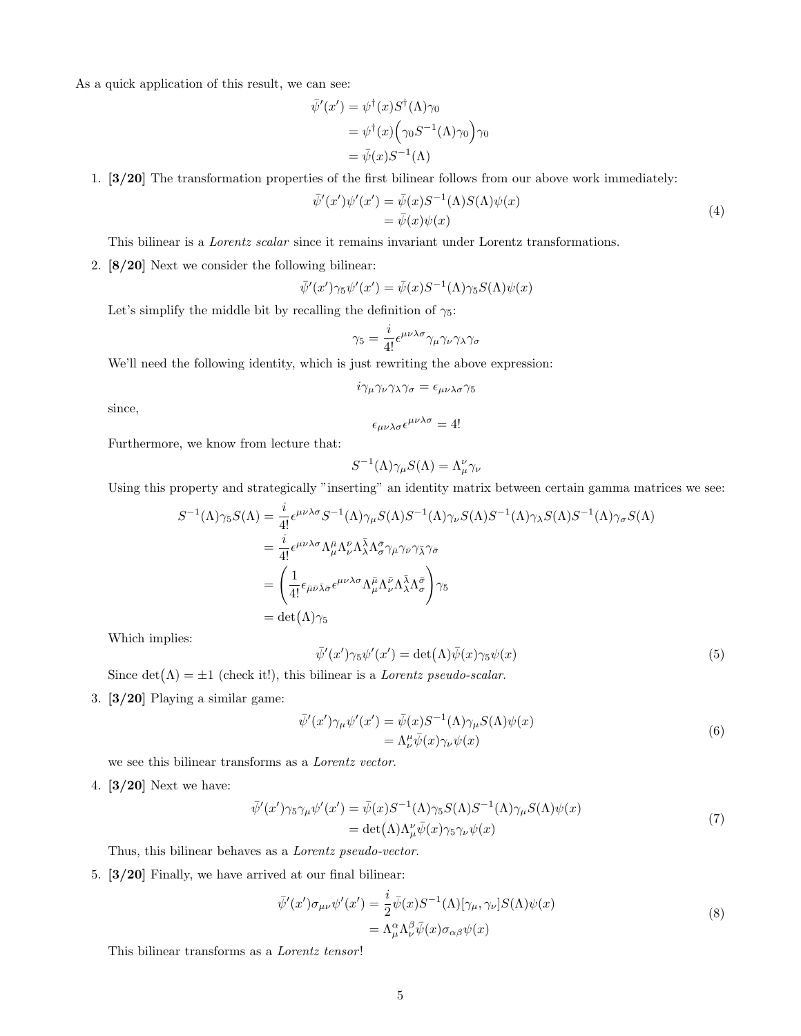As a quick application of this result, we can see:

$$
\overline{\psi}'(x') = \psi^{\dagger}(x)S^{\dagger}(\Lambda)\gamma_0
$$
  
=  $\psi^{\dagger}(x)\Big(\gamma_0S^{-1}(\Lambda)\gamma_0\Big)\gamma_0$   
=  $\overline{\psi}(x)S^{-1}(\Lambda)$ 

1. [3/20] The transformation properties of the first bilinear follows from our above work immediately:

$$
\begin{aligned} \bar{\psi}'(x')\psi'(x') &= \bar{\psi}(x)S^{-1}(\Lambda)S(\Lambda)\psi(x) \\ &= \bar{\psi}(x)\psi(x) \end{aligned} \tag{4}
$$

This bilinear is a Lorentz scalar since it remains invariant under Lorentz transformations.

2. [8/20] Next we consider the following bilinear:

$$
\bar{\psi}'(x')\gamma_5\psi'(x') = \bar{\psi}(x)S^{-1}(\Lambda)\gamma_5S(\Lambda)\psi(x)
$$

Let's simplify the middle bit by recalling the definition of  $\gamma_5$ :

$$
\gamma_5=\frac{i}{4!}\epsilon^{\mu\nu\lambda\sigma}\gamma_\mu\gamma_\nu\gamma_\lambda\gamma_\sigma
$$

We'll need the following identity, which is just rewriting the above expression:

$$
i\gamma_\mu\gamma_\nu\gamma_\lambda\gamma_\sigma=\epsilon_{\mu\nu\lambda\sigma}\gamma_5
$$

since,

$$
\epsilon_{\mu\nu\lambda\sigma}\epsilon^{\mu\nu\lambda\sigma} = 4!
$$

Furthermore, we know from lecture that:

$$
S^{-1}(\Lambda)\gamma_{\mu}S(\Lambda) = \Lambda^{\nu}_{\mu}\gamma_{\nu}
$$

Using this property and strategically "inserting" an identity matrix between certain gamma matrices we see:

$$
S^{-1}(\Lambda)\gamma_5 S(\Lambda) = \frac{i}{4!} \epsilon^{\mu\nu\lambda\sigma} S^{-1}(\Lambda)\gamma_\mu S(\Lambda) S^{-1}(\Lambda)\gamma_\nu S(\Lambda) S^{-1}(\Lambda)\gamma_\lambda S(\Lambda) S^{-1}(\Lambda)\gamma_\sigma S(\Lambda)
$$
  
\n
$$
= \frac{i}{4!} \epsilon^{\mu\nu\lambda\sigma} \Lambda_\mu^{\bar{\mu}} \Lambda_\nu^{\bar{\nu}} \Lambda_\lambda^{\bar{\lambda}} \Lambda_\sigma^{\bar{\sigma}} \gamma_{\bar{\nu}} \gamma_{\bar{\nu}} \gamma_{\bar{\lambda}} \gamma_{\bar{\sigma}}
$$
  
\n
$$
= \left(\frac{1}{4!} \epsilon_{\bar{\mu}\bar{\nu}} \bar{\lambda}_{\bar{\sigma}} \epsilon^{\mu\nu\lambda\sigma} \Lambda_\mu^{\bar{\mu}} \Lambda_\nu^{\bar{\nu}} \Lambda_\lambda^{\bar{\lambda}} \Lambda_\sigma^{\bar{\sigma}}\right) \gamma_5
$$
  
\n
$$
= \det(\Lambda)\gamma_5
$$

Which implies:

$$
\bar{\psi}'(x')\gamma_5\psi'(x') = \det(\Lambda)\bar{\psi}(x)\gamma_5\psi(x)
$$
\n(5)

Since  $\det(\Lambda) = \pm 1$  (check it!), this bilinear is a *Lorentz pseudo-scalar*.

3. [3/20] Playing a similar game:

$$
\begin{aligned} \bar{\psi}'(x')\gamma_{\mu}\psi'(x') &= \bar{\psi}(x)S^{-1}(\Lambda)\gamma_{\mu}S(\Lambda)\psi(x) \\ &= \Lambda_{\nu}^{\mu}\bar{\psi}(x)\gamma_{\nu}\psi(x) \end{aligned} \tag{6}
$$

we see this bilinear transforms as a Lorentz vector.

4. [3/20] Next we have:

$$
\bar{\psi}'(x')\gamma_5\gamma_\mu\psi'(x') = \bar{\psi}(x)S^{-1}(\Lambda)\gamma_5S(\Lambda)S^{-1}(\Lambda)\gamma_\mu S(\Lambda)\psi(x)
$$
  
= det $(\Lambda)\Lambda''_\mu\bar{\psi}(x)\gamma_5\gamma_\nu\psi(x)$  (7)

Thus, this bilinear behaves as a Lorentz pseudo-vector.

5. [3/20] Finally, we have arrived at our final bilinear:

$$
\bar{\psi}'(x')\sigma_{\mu\nu}\psi'(x') = \frac{i}{2}\bar{\psi}(x)S^{-1}(\Lambda)[\gamma_{\mu},\gamma_{\nu}]S(\Lambda)\psi(x) \n= \Lambda^{\alpha}_{\mu}\Lambda^{\beta}_{\nu}\bar{\psi}(x)\sigma_{\alpha\beta}\psi(x)
$$
\n(8)

This bilinear transforms as a *Lorentz tensor!*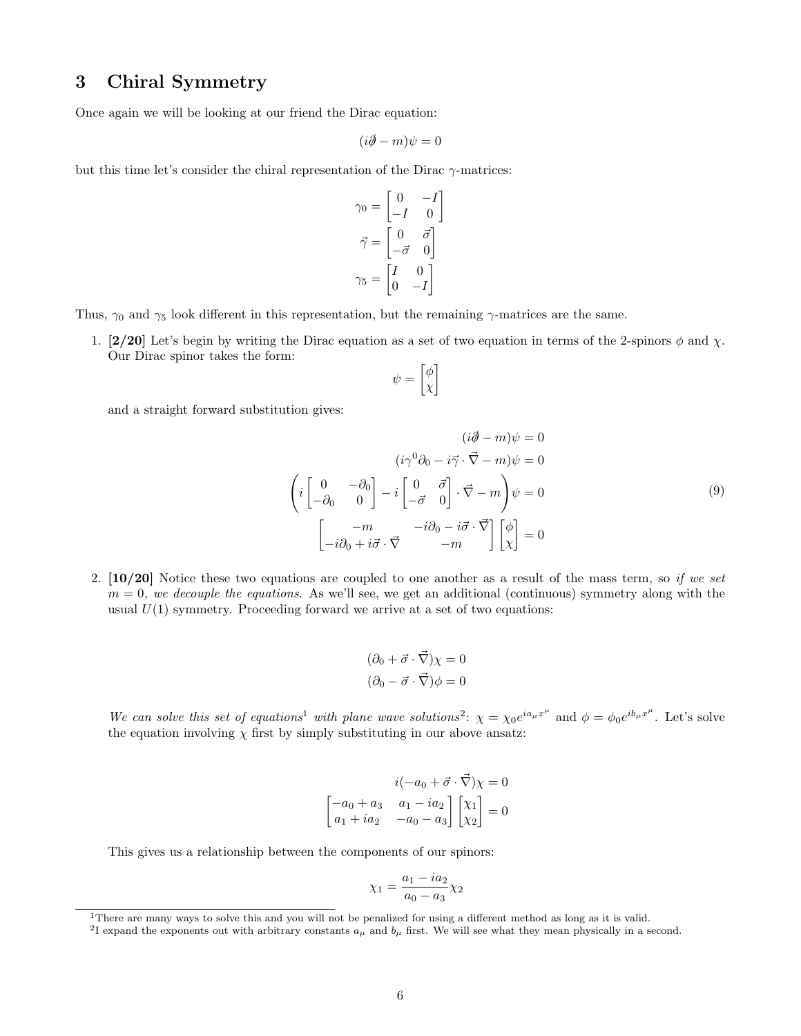## 3 Chiral Symmetry

Once again we will be looking at our friend the Dirac equation:

$$
(i\partial\!\!\!/-m)\psi=0
$$

but this time let's consider the chiral representation of the Dirac  $\gamma$ -matrices:

$$
\gamma_0 = \begin{bmatrix} 0 & -I \\ -I & 0 \end{bmatrix}
$$

$$
\vec{\gamma} = \begin{bmatrix} 0 & \vec{\sigma} \\ -\vec{\sigma} & 0 \end{bmatrix}
$$

$$
\gamma_5 = \begin{bmatrix} I & 0 \\ 0 & -I \end{bmatrix}
$$

Thus,  $\gamma_0$  and  $\gamma_5$  look different in this representation, but the remaining  $\gamma$ -matrices are the same.

1. [2/20] Let's begin by writing the Dirac equation as a set of two equation in terms of the 2-spinors  $\phi$  and  $\chi$ . Our Dirac spinor takes the form:

$$
\psi = \begin{bmatrix} \phi \\ \chi \end{bmatrix}
$$

and a straight forward substitution gives:

$$
(i\partial - m)\psi = 0
$$

$$
(i\gamma^{0}\partial_{0} - i\vec{\gamma} \cdot \vec{\nabla} - m)\psi = 0
$$

$$
\left(i \begin{bmatrix} 0 & -\partial_{0} \\ -\partial_{0} & 0 \end{bmatrix} - i \begin{bmatrix} 0 & \vec{\sigma} \\ -\vec{\sigma} & 0 \end{bmatrix} \cdot \vec{\nabla} - m\right)\psi = 0
$$

$$
\begin{bmatrix} -m & -i\partial_{0} - i\vec{\sigma} \cdot \vec{\nabla} \\ -i\partial_{0} + i\vec{\sigma} \cdot \vec{\nabla} & -m \end{bmatrix} \begin{bmatrix} \phi \\ \chi \end{bmatrix} = 0
$$

$$
(9)
$$

2.  $\left[10/20\right]$  Notice these two equations are coupled to one another as a result of the mass term, so if we set  $m = 0$ , we decouple the equations. As we'll see, we get an additional (continuous) symmetry along with the usual  $U(1)$  symmetry. Proceeding forward we arrive at a set of two equations:

$$
(\partial_0 + \vec{\sigma} \cdot \vec{\nabla})\chi = 0
$$

$$
(\partial_0 - \vec{\sigma} \cdot \vec{\nabla})\phi = 0
$$

We can solve this set of equations<sup>1</sup> with plane wave solutions<sup>2</sup>:  $\chi = \chi_0 e^{ia_\mu x^\mu}$  and  $\phi = \phi_0 e^{ib_\mu x^\mu}$ . Let's solve the equation involving  $\chi$  first by simply substituting in our above ansatz:

$$
i(-a_0 + \vec{\sigma} \cdot \vec{\nabla})\chi = 0
$$

$$
\begin{bmatrix} -a_0 + a_3 & a_1 - ia_2 \\ a_1 + ia_2 & -a_0 - a_3 \end{bmatrix} \begin{bmatrix} \chi_1 \\ \chi_2 \end{bmatrix} = 0
$$

This gives us a relationship between the components of our spinors:

$$
\chi_1 = \frac{a_1 - ia_2}{a_0 - a_3} \chi_2
$$

<sup>&</sup>lt;sup>1</sup>There are many ways to solve this and you will not be penalized for using a different method as long as it is valid.

<sup>&</sup>lt;sup>2</sup>I expand the exponents out with arbitrary constants  $a_{\mu}$  and  $b_{\mu}$  first. We will see what they mean physically in a second.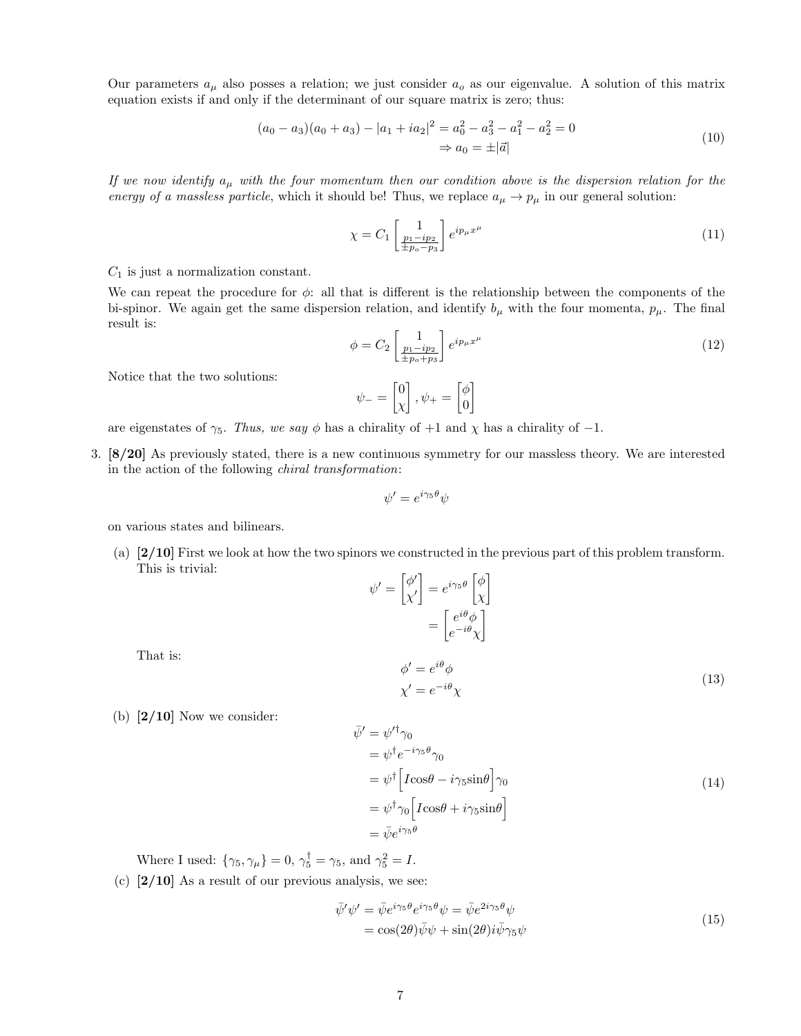Our parameters  $a_{\mu}$  also posses a relation; we just consider  $a_{o}$  as our eigenvalue. A solution of this matrix equation exists if and only if the determinant of our square matrix is zero; thus:

$$
(a_0 - a_3)(a_0 + a_3) - |a_1 + ia_2|^2 = a_0^2 - a_3^2 - a_1^2 - a_2^2 = 0
$$
  

$$
\Rightarrow a_0 = \pm |\vec{a}|
$$
 (10)

If we now identify  $a_{\mu}$  with the four momentum then our condition above is the dispersion relation for the energy of a massless particle, which it should be! Thus, we replace  $a_{\mu} \to p_{\mu}$  in our general solution:

$$
\chi = C_1 \begin{bmatrix} 1 \\ \frac{p_1 - ip_2}{\pm p_o - p_3} \end{bmatrix} e^{ip_\mu x^\mu} \tag{11}
$$

 $C_1$  is just a normalization constant.

We can repeat the procedure for  $\phi$ : all that is different is the relationship between the components of the bi-spinor. We again get the same dispersion relation, and identify  $b_{\mu}$  with the four momenta,  $p_{\mu}$ . The final result is:

$$
\phi = C_2 \begin{bmatrix} 1 \\ \frac{p_1 - ip_2}{\pm p_o + p_3} \end{bmatrix} e^{ip_\mu x^\mu} \tag{12}
$$

Notice that the two solutions:

$$
\psi_-=\begin{bmatrix}0\\\chi\end{bmatrix}, \psi_+=\begin{bmatrix}\phi\\0\end{bmatrix}
$$

are eigenstates of  $\gamma_5$ . Thus, we say  $\phi$  has a chirality of +1 and  $\chi$  has a chirality of -1.

3. [8/20] As previously stated, there is a new continuous symmetry for our massless theory. We are interested in the action of the following chiral transformation:

$$
\psi' = e^{i\gamma_5 \theta} \psi
$$

on various states and bilinears.

(a) [2/10] First we look at how the two spinors we constructed in the previous part of this problem transform. This is trivial:

$$
\psi' = \begin{bmatrix} \phi' \\ \chi' \end{bmatrix} = e^{i\gamma_5 \theta} \begin{bmatrix} \phi \\ \chi \end{bmatrix}
$$

$$
= \begin{bmatrix} e^{i\theta} \phi \\ e^{-i\theta} \chi \end{bmatrix}
$$

$$
\phi' = e^{i\theta} \phi
$$

$$
\chi' = e^{-i\theta} \chi
$$

- That is:
- (b)  $[2/10]$  Now we consider:

$$
\begin{aligned}\n\bar{\psi}' &= \psi'^{\dagger} \gamma_0 \\
&= \psi^{\dagger} e^{-i\gamma_5 \theta} \gamma_0 \\
&= \psi^{\dagger} \Big[ I \cos \theta - i \gamma_5 \sin \theta \Big] \gamma_0 \\
&= \psi^{\dagger} \gamma_0 \Big[ I \cos \theta + i \gamma_5 \sin \theta \Big] \\
&= \bar{\psi} e^{i\gamma_5 \theta}\n\end{aligned} \tag{14}
$$

(13)

Where I used:  $\{\gamma_5, \gamma_\mu\} = 0, \gamma_5^{\dagger} = \gamma_5$ , and  $\gamma_5^2 = I$ .

(c)  $[2/10]$  As a result of our previous analysis, we see:

$$
\begin{aligned} \bar{\psi}'\psi' &= \bar{\psi}e^{i\gamma_5\theta}e^{i\gamma_5\theta}\psi = \bar{\psi}e^{2i\gamma_5\theta}\psi\\ &= \cos(2\theta)\bar{\psi}\psi + \sin(2\theta)i\bar{\psi}\gamma_5\psi \end{aligned} \tag{15}
$$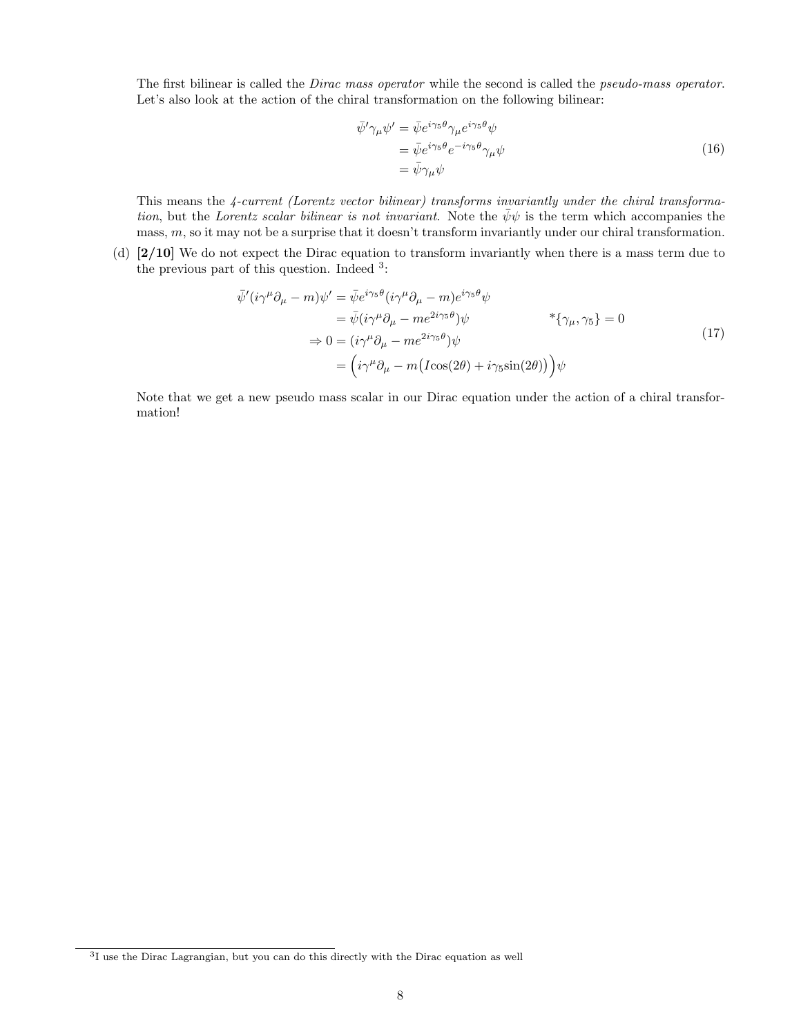The first bilinear is called the *Dirac mass operator* while the second is called the *pseudo-mass operator*. Let's also look at the action of the chiral transformation on the following bilinear:

$$
\begin{split} \bar{\psi}' \gamma_{\mu} \psi' &= \bar{\psi} e^{i \gamma_5 \theta} \gamma_{\mu} e^{i \gamma_5 \theta} \psi \\ &= \bar{\psi} e^{i \gamma_5 \theta} e^{-i \gamma_5 \theta} \gamma_{\mu} \psi \\ &= \bar{\psi} \gamma_{\mu} \psi \end{split} \tag{16}
$$

This means the 4-current (Lorentz vector bilinear) transforms invariantly under the chiral transformation, but the Lorentz scalar bilinear is not invariant. Note the  $\bar{\psi}\psi$  is the term which accompanies the mass,  $m$ , so it may not be a surprise that it doesn't transform invariantly under our chiral transformation.

(d) [2/10] We do not expect the Dirac equation to transform invariantly when there is a mass term due to the previous part of this question. Indeed <sup>3</sup>:

$$
\begin{split}\n\bar{\psi}'(i\gamma^{\mu}\partial_{\mu} - m)\psi' &= \bar{\psi}e^{i\gamma_{5}\theta}(i\gamma^{\mu}\partial_{\mu} - m)e^{i\gamma_{5}\theta}\psi \\
&= \bar{\psi}(i\gamma^{\mu}\partial_{\mu} - me^{2i\gamma_{5}\theta})\psi \\
&\Rightarrow 0 = (i\gamma^{\mu}\partial_{\mu} - me^{2i\gamma_{5}\theta})\psi \\
&= \left(i\gamma^{\mu}\partial_{\mu} - m(I\cos(2\theta) + i\gamma_{5}\sin(2\theta))\right)\psi\n\end{split} \tag{17}
$$

Note that we get a new pseudo mass scalar in our Dirac equation under the action of a chiral transformation!

<sup>3</sup> I use the Dirac Lagrangian, but you can do this directly with the Dirac equation as well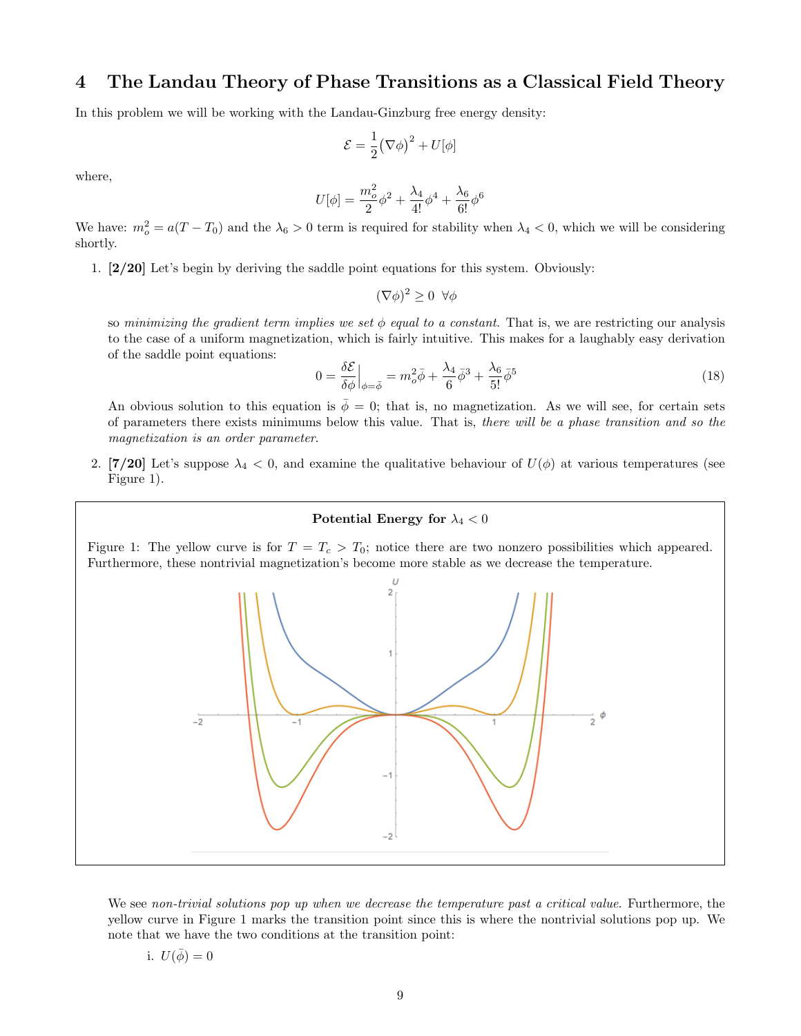#### 4 The Landau Theory of Phase Transitions as a Classical Field Theory

In this problem we will be working with the Landau-Ginzburg free energy density:

$$
\mathcal{E} = \frac{1}{2} (\nabla \phi)^2 + U[\phi]
$$

where,

$$
U[\phi]=\frac{m_o^2}{2}\phi^2+\frac{\lambda_4}{4!}\phi^4+\frac{\lambda_6}{6!}\phi^6
$$

We have:  $m_o^2 = a(T - T_0)$  and the  $\lambda_6 > 0$  term is required for stability when  $\lambda_4 < 0$ , which we will be considering shortly.

1. [2/20] Let's begin by deriving the saddle point equations for this system. Obviously:

$$
(\nabla \phi)^2 \ge 0 \ \forall \phi
$$

so minimizing the gradient term implies we set  $\phi$  equal to a constant. That is, we are restricting our analysis to the case of a uniform magnetization, which is fairly intuitive. This makes for a laughably easy derivation of the saddle point equations:

$$
0 = \frac{\delta \mathcal{E}}{\delta \phi} \Big|_{\phi = \bar{\phi}} = m_o^2 \bar{\phi} + \frac{\lambda_4}{6} \bar{\phi}^3 + \frac{\lambda_6}{5!} \bar{\phi}^5 \tag{18}
$$

An obvious solution to this equation is  $\bar{\phi} = 0$ ; that is, no magnetization. As we will see, for certain sets of parameters there exists minimums below this value. That is, there will be a phase transition and so the magnetization is an order parameter.

2. [7/20] Let's suppose  $\lambda_4 < 0$ , and examine the qualitative behaviour of  $U(\phi)$  at various temperatures (see Figure 1).

#### Potential Energy for  $\lambda_4 < 0$

Figure 1: The yellow curve is for  $T = T_c > T_0$ ; notice there are two nonzero possibilities which appeared. Furthermore, these nontrivial magnetization's become more stable as we decrease the temperature.



We see non-trivial solutions pop up when we decrease the temperature past a critical value. Furthermore, the yellow curve in Figure 1 marks the transition point since this is where the nontrivial solutions pop up. We note that we have the two conditions at the transition point:

i. 
$$
U(\bar{\phi}) = 0
$$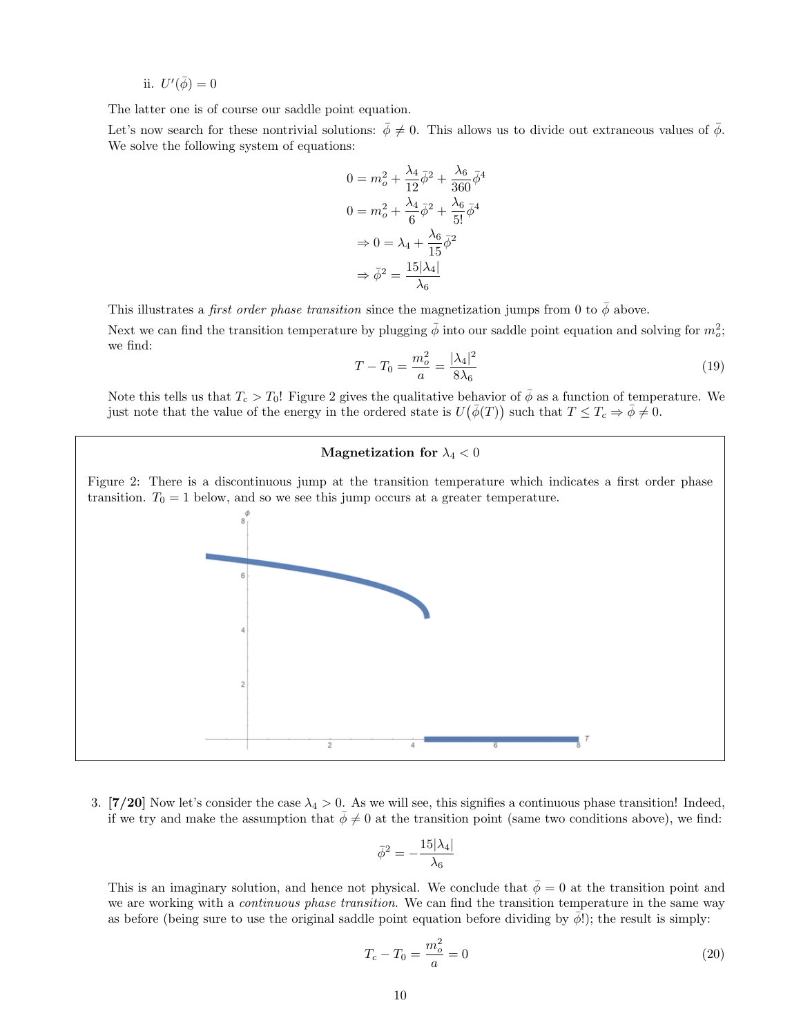ii.  $U'(\bar{\phi}) = 0$ 

The latter one is of course our saddle point equation.

Let's now search for these nontrivial solutions:  $\bar{\phi} \neq 0$ . This allows us to divide out extraneous values of  $\bar{\phi}$ . We solve the following system of equations:

$$
0 = m_o^2 + \frac{\lambda_4}{12} \bar{\phi}^2 + \frac{\lambda_6}{360} \bar{\phi}^4
$$

$$
0 = m_o^2 + \frac{\lambda_4}{6} \bar{\phi}^2 + \frac{\lambda_6}{5!} \bar{\phi}^4
$$

$$
\Rightarrow 0 = \lambda_4 + \frac{\lambda_6}{15} \bar{\phi}^2
$$

$$
\Rightarrow \bar{\phi}^2 = \frac{15|\lambda_4|}{\lambda_6}
$$

This illustrates a *first order phase transition* since the magnetization jumps from 0 to  $\phi$  above. Next we can find the transition temperature by plugging  $\bar{\phi}$  into our saddle point equation and solving for  $m_o^2$ ; we find:

$$
T - T_0 = \frac{m_o^2}{a} = \frac{|\lambda_4|^2}{8\lambda_6} \tag{19}
$$

Note this tells us that  $T_c > T_0!$  Figure 2 gives the qualitative behavior of  $\bar{\phi}$  as a function of temperature. We just note that the value of the energy in the ordered state is  $U(\bar{\phi}(T))$  such that  $T \leq T_c \Rightarrow \bar{\phi} \neq 0$ .

#### Magnetization for  $\lambda_4 < 0$

Figure 2: There is a discontinuous jump at the transition temperature which indicates a first order phase transition.  $T_0 = 1$  below, and so we see this jump occurs at a greater temperature.



3. [7/20] Now let's consider the case  $\lambda_4 > 0$ . As we will see, this signifies a continuous phase transition! Indeed, if we try and make the assumption that  $\bar{\phi} \neq 0$  at the transition point (same two conditions above), we find:

$$
\bar{\phi}^2 = -\frac{15|\lambda_4|}{\lambda_6}
$$

This is an imaginary solution, and hence not physical. We conclude that  $\bar{\phi} = 0$  at the transition point and we are working with a *continuous phase transition*. We can find the transition temperature in the same way as before (being sure to use the original saddle point equation before dividing by  $\phi$ !); the result is simply:

$$
T_c - T_0 = \frac{m_o^2}{a} = 0
$$
\n(20)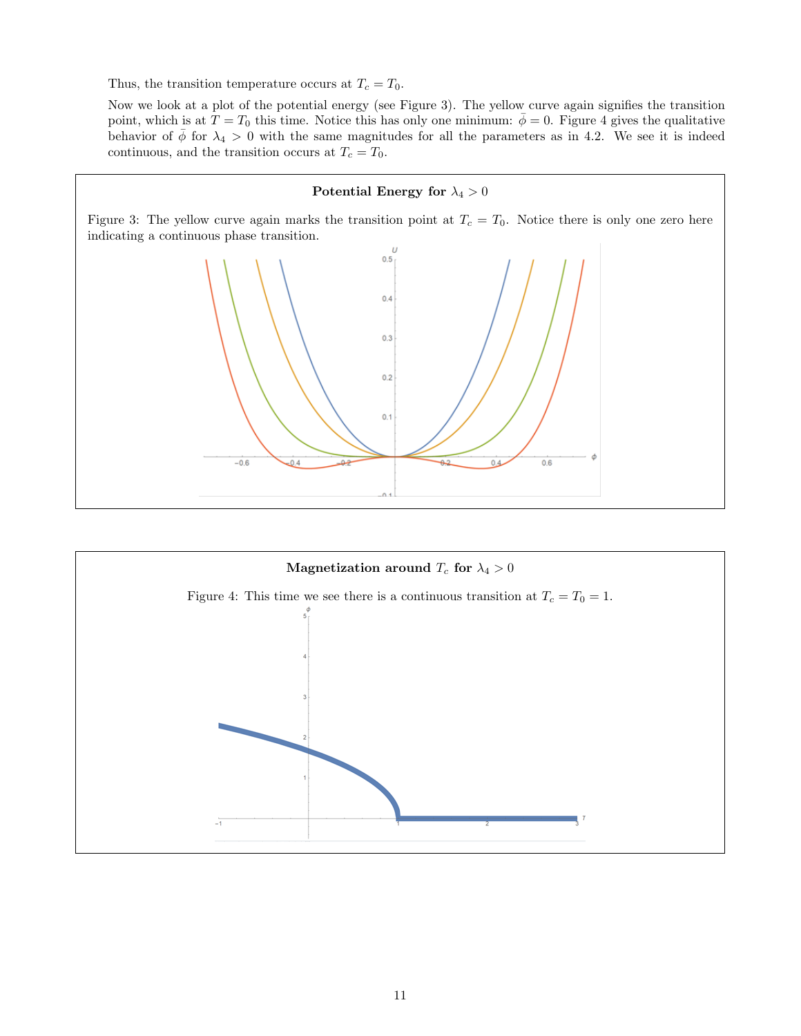Thus, the transition temperature occurs at  $T_c = T_0$ .

Now we look at a plot of the potential energy (see Figure 3). The yellow curve again signifies the transition point, which is at  $T = T_0$  this time. Notice this has only one minimum:  $\bar{\phi} = 0$ . Figure 4 gives the qualitative behavior of  $\bar{\phi}$  for  $\lambda_4 > 0$  with the same magnitudes for all the parameters as in 4.2. We see it is indeed continuous, and the transition occurs at  $T_c = T_0$ .

#### Potential Energy for  $\lambda_4 > 0$

Figure 3: The yellow curve again marks the transition point at  $T_c = T_0$ . Notice there is only one zero here indicating a continuous phase transition.



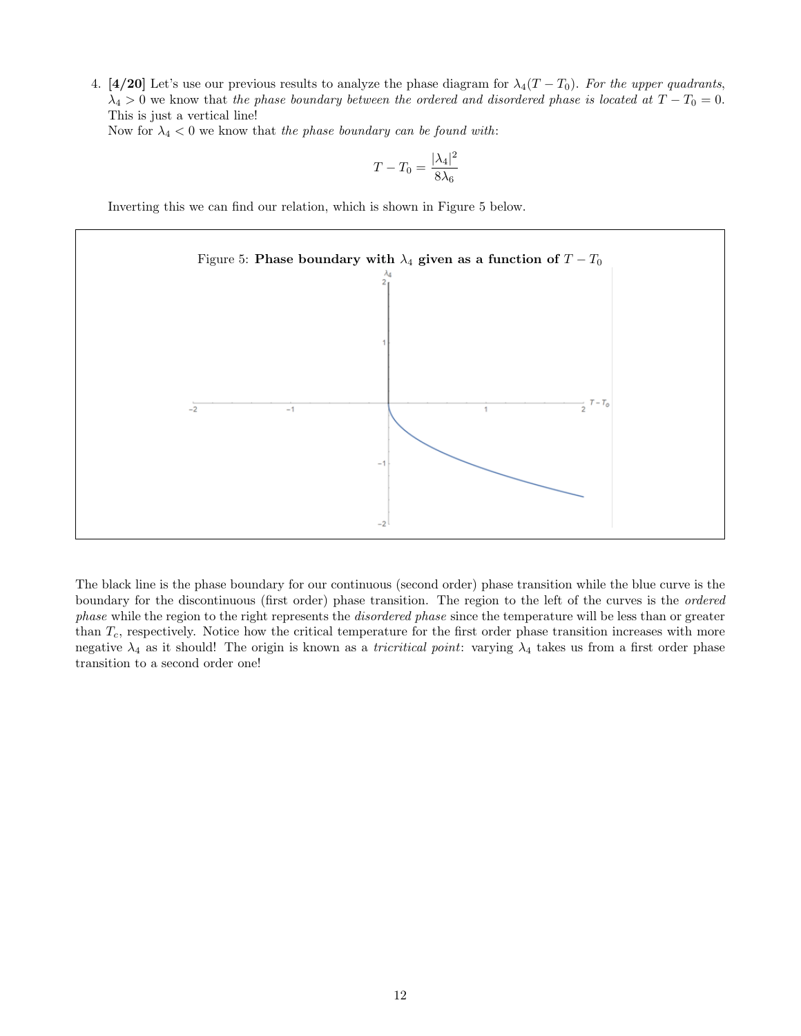4. [4/20] Let's use our previous results to analyze the phase diagram for  $\lambda_4(T - T_0)$ . For the upper quadrants,  $\lambda_4 > 0$  we know that the phase boundary between the ordered and disordered phase is located at  $T - T_0 = 0$ . This is just a vertical line!

Now for  $\lambda_4 < 0$  we know that the phase boundary can be found with:

$$
T - T_0 = \frac{|\lambda_4|^2}{8\lambda_6}
$$

Inverting this we can find our relation, which is shown in Figure 5 below.



The black line is the phase boundary for our continuous (second order) phase transition while the blue curve is the boundary for the discontinuous (first order) phase transition. The region to the left of the curves is the ordered phase while the region to the right represents the disordered phase since the temperature will be less than or greater than  $T_c$ , respectively. Notice how the critical temperature for the first order phase transition increases with more negative  $\lambda_4$  as it should! The origin is known as a *tricritical point*: varying  $\lambda_4$  takes us from a first order phase transition to a second order one!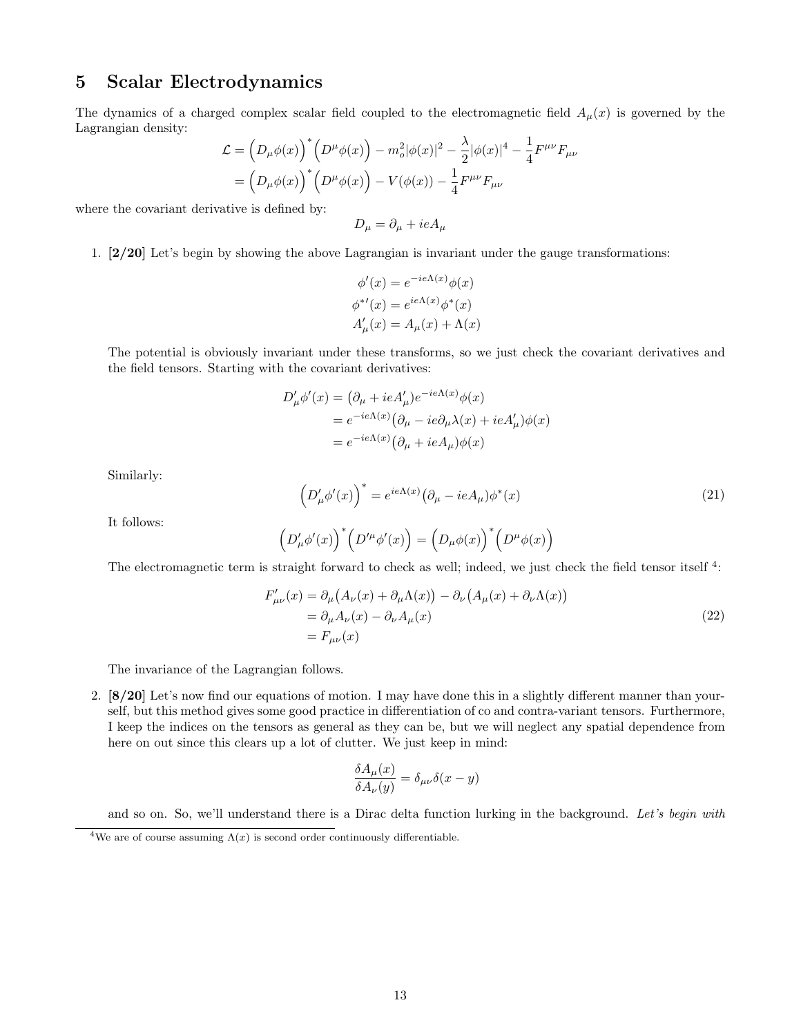## 5 Scalar Electrodynamics

The dynamics of a charged complex scalar field coupled to the electromagnetic field  $A_\mu(x)$  is governed by the Lagrangian density:

$$
\mathcal{L} = \left(D_{\mu}\phi(x)\right)^{*} \left(D^{\mu}\phi(x)\right) - m_o^2 |\phi(x)|^2 - \frac{\lambda}{2} |\phi(x)|^4 - \frac{1}{4} F^{\mu\nu} F_{\mu\nu}
$$

$$
= \left(D_{\mu}\phi(x)\right)^{*} \left(D^{\mu}\phi(x)\right) - V(\phi(x)) - \frac{1}{4} F^{\mu\nu} F_{\mu\nu}
$$

where the covariant derivative is defined by:

$$
D_{\mu} = \partial_{\mu} + ieA_{\mu}
$$

1. [2/20] Let's begin by showing the above Lagrangian is invariant under the gauge transformations:

$$
\phi'(x) = e^{-ie\Lambda(x)}\phi(x)
$$

$$
\phi^{*'}(x) = e^{ie\Lambda(x)}\phi^*(x)
$$

$$
A'_{\mu}(x) = A_{\mu}(x) + \Lambda(x)
$$

The potential is obviously invariant under these transforms, so we just check the covariant derivatives and the field tensors. Starting with the covariant derivatives:

$$
D'_{\mu}\phi'(x) = (\partial_{\mu} + ieA'_{\mu})e^{-ie\Lambda(x)}\phi(x)
$$
  
=  $e^{-ie\Lambda(x)}(\partial_{\mu} - ie\partial_{\mu}\lambda(x) + ieA'_{\mu})\phi(x)$   
=  $e^{-ie\Lambda(x)}(\partial_{\mu} + ieA_{\mu})\phi(x)$ 

Similarly:

$$
\left(D'_{\mu}\phi'(x)\right)^{*} = e^{ie\Lambda(x)}\left(\partial_{\mu} - ieA_{\mu}\right)\phi^{*}(x)
$$
\n(21)

It follows:

$$
\Big(D_\mu^\prime \phi^\prime(x)\Big)^*\Big(D^{\prime\mu}\phi^\prime(x)\Big)=\Big(D_\mu \phi(x)\Big)^*\Big(D^\mu\phi(x)\Big)
$$

The electromagnetic term is straight forward to check as well; indeed, we just check the field tensor itself  $4$ :

$$
F'_{\mu\nu}(x) = \partial_{\mu} (A_{\nu}(x) + \partial_{\mu} \Lambda(x)) - \partial_{\nu} (A_{\mu}(x) + \partial_{\nu} \Lambda(x))
$$
  
=  $\partial_{\mu} A_{\nu}(x) - \partial_{\nu} A_{\mu}(x)$   
=  $F_{\mu\nu}(x)$  (22)

The invariance of the Lagrangian follows.

2. [8/20] Let's now find our equations of motion. I may have done this in a slightly different manner than yourself, but this method gives some good practice in differentiation of co and contra-variant tensors. Furthermore, I keep the indices on the tensors as general as they can be, but we will neglect any spatial dependence from here on out since this clears up a lot of clutter. We just keep in mind:

$$
\frac{\delta A_{\mu}(x)}{\delta A_{\nu}(y)} = \delta_{\mu\nu}\delta(x-y)
$$

and so on. So, we'll understand there is a Dirac delta function lurking in the background. Let's begin with

<sup>&</sup>lt;sup>4</sup>We are of course assuming  $\Lambda(x)$  is second order continuously differentiable.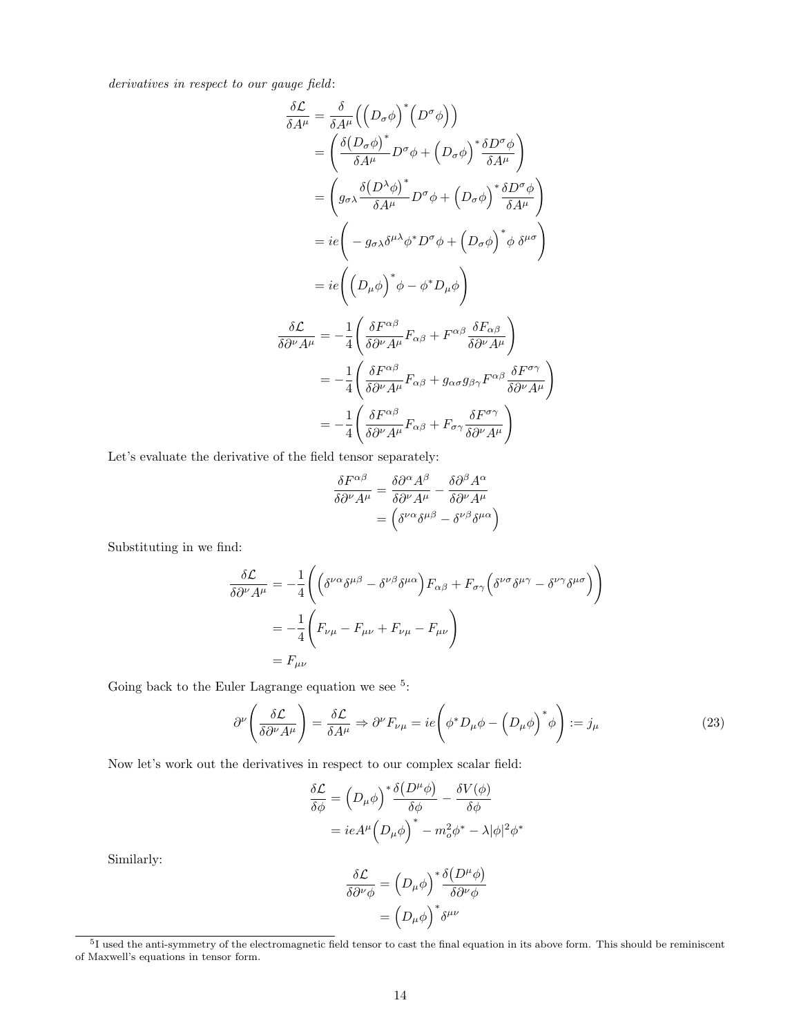derivatives in respect to our gauge field:

$$
\frac{\delta \mathcal{L}}{\delta A^{\mu}} = \frac{\delta}{\delta A^{\mu}} \Big( \Big( D_{\sigma} \phi \Big)^{*} \Big( D^{\sigma} \phi \Big) \Big) \n= \Big( \frac{\delta \Big( D_{\sigma} \phi \Big)^{*}}{\delta A^{\mu}} D^{\sigma} \phi + \Big( D_{\sigma} \phi \Big)^{*} \frac{\delta D^{\sigma} \phi}{\delta A^{\mu}} \Big) \n= \Big( g_{\sigma \lambda} \frac{\delta \Big( D^{\lambda} \phi \Big)^{*}}{\delta A^{\mu}} D^{\sigma} \phi + \Big( D_{\sigma} \phi \Big)^{*} \frac{\delta D^{\sigma} \phi}{\delta A^{\mu}} \Big) \n= ie \Big( -g_{\sigma \lambda} \delta^{\mu \lambda} \phi^{*} D^{\sigma} \phi + \Big( D_{\sigma} \phi \Big)^{*} \phi \delta^{\mu \sigma} \Big) \n= ie \Big( \Big( D_{\mu} \phi \Big)^{*} \phi - \phi^{*} D_{\mu} \phi \Big) \n= \frac{\delta \mathcal{L}}{\delta \partial^{\nu} A^{\mu}} = -\frac{1}{4} \Big( \frac{\delta F^{\alpha \beta}}{\delta \partial^{\nu} A^{\mu}} F_{\alpha \beta} + F^{\alpha \beta} \frac{\delta F_{\alpha \beta}}{\delta \partial^{\nu} A^{\mu}} \Big) \n= -\frac{1}{4} \Big( \frac{\delta F^{\alpha \beta}}{\delta \partial^{\nu} A^{\mu}} F_{\alpha \beta} + g_{\alpha \sigma} g_{\beta \gamma} F^{\alpha \beta} \frac{\delta F^{\sigma \gamma}}{\delta \partial^{\nu} A^{\mu}} \Big) \n= -\frac{1}{4} \Big( \frac{\delta F^{\alpha \beta}}{\delta \partial^{\nu} A^{\mu}} F_{\alpha \beta} + F_{\sigma \gamma} \frac{\delta F^{\sigma \gamma}}{\delta \partial^{\nu} A^{\mu}} \Big)
$$

Let's evaluate the derivative of the field tensor separately:

$$
\frac{\delta F^{\alpha\beta}}{\delta \partial^{\nu} A^{\mu}} = \frac{\delta \partial^{\alpha} A^{\beta}}{\delta \partial^{\nu} A^{\mu}} - \frac{\delta \partial^{\beta} A^{\alpha}}{\delta \partial^{\nu} A^{\mu}} \n= \left( \delta^{\nu\alpha} \delta^{\mu\beta} - \delta^{\nu\beta} \delta^{\mu\alpha} \right)
$$

Substituting in we find:

$$
\frac{\delta \mathcal{L}}{\delta \partial^{\nu} A^{\mu}} = -\frac{1}{4} \left( \left( \delta^{\nu \alpha} \delta^{\mu \beta} - \delta^{\nu \beta} \delta^{\mu \alpha} \right) F_{\alpha \beta} + F_{\sigma \gamma} \left( \delta^{\nu \sigma} \delta^{\mu \gamma} - \delta^{\nu \gamma} \delta^{\mu \sigma} \right) \right)
$$

$$
= -\frac{1}{4} \left( F_{\nu \mu} - F_{\mu \nu} + F_{\nu \mu} - F_{\mu \nu} \right)
$$

$$
= F_{\mu \nu}
$$

Going back to the Euler Lagrange equation we see  $5$ :

$$
\partial^{\nu} \left( \frac{\delta \mathcal{L}}{\delta \partial^{\nu} A^{\mu}} \right) = \frac{\delta \mathcal{L}}{\delta A^{\mu}} \Rightarrow \partial^{\nu} F_{\nu \mu} = ie \left( \phi^* D_{\mu} \phi - \left( D_{\mu} \phi \right)^* \phi \right) := j_{\mu}
$$
\n(23)

Now let's work out the derivatives in respect to our complex scalar field:

$$
\frac{\delta \mathcal{L}}{\delta \phi} = \left( D_{\mu} \phi \right)^{*} \frac{\delta (D^{\mu} \phi)}{\delta \phi} - \frac{\delta V(\phi)}{\delta \phi}
$$

$$
= ieA^{\mu} \left( D_{\mu} \phi \right)^{*} - m_{o}^{2} \phi^{*} - \lambda |\phi|^{2} \phi^{*}
$$

Similarly:

$$
\frac{\delta \mathcal{L}}{\delta \partial^{\nu} \phi} = \left( D_{\mu} \phi \right)^{*} \frac{\delta (D^{\mu} \phi)}{\delta \partial^{\nu} \phi}
$$

$$
= \left( D_{\mu} \phi \right)^{*} \delta^{\mu \nu}
$$

 $5I$  used the anti-symmetry of the electromagnetic field tensor to cast the final equation in its above form. This should be reminiscent of Maxwell's equations in tensor form.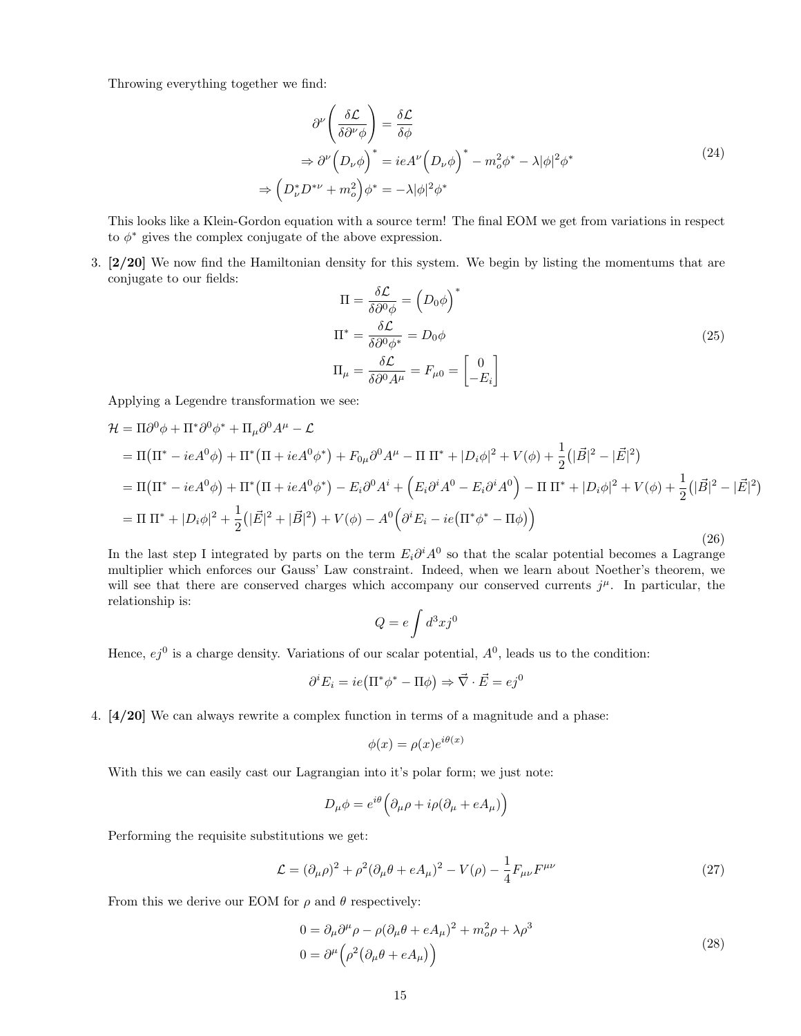Throwing everything together we find:

$$
\partial^{\nu} \left( \frac{\delta \mathcal{L}}{\delta \partial^{\nu} \phi} \right) = \frac{\delta \mathcal{L}}{\delta \phi}
$$
  
\n
$$
\Rightarrow \partial^{\nu} \left( D_{\nu} \phi \right)^{*} = ieA^{\nu} \left( D_{\nu} \phi \right)^{*} - m_{o}^{2} \phi^{*} - \lambda |\phi|^{2} \phi^{*}
$$
  
\n
$$
\Rightarrow \left( D_{\nu}^{*} D^{*\nu} + m_{o}^{2} \right) \phi^{*} = -\lambda |\phi|^{2} \phi^{*}
$$
\n(24)

This looks like a Klein-Gordon equation with a source term! The final EOM we get from variations in respect to  $\phi^*$  gives the complex conjugate of the above expression.

3. [2/20] We now find the Hamiltonian density for this system. We begin by listing the momentums that are conjugate to our fields:

$$
\Pi = \frac{\delta \mathcal{L}}{\delta \partial^0 \phi} = \left( D_0 \phi \right)^* \n\Pi^* = \frac{\delta \mathcal{L}}{\delta \partial^0 \phi^*} = D_0 \phi \n\Pi_{\mu} = \frac{\delta \mathcal{L}}{\delta \partial^0 A^{\mu}} = F_{\mu 0} = \begin{bmatrix} 0 \\ -E_i \end{bmatrix}
$$
\n(25)

Applying a Legendre transformation we see:

$$
\mathcal{H} = \Pi \partial^0 \phi + \Pi^* \partial^0 \phi^* + \Pi_\mu \partial^0 A^\mu - \mathcal{L}
$$
  
\n
$$
= \Pi (\Pi^* - ieA^0 \phi) + \Pi^* (\Pi + ieA^0 \phi^*) + F_{0\mu} \partial^0 A^\mu - \Pi \Pi^* + |D_i \phi|^2 + V(\phi) + \frac{1}{2} (|\vec{B}|^2 - |\vec{E}|^2)
$$
  
\n
$$
= \Pi (\Pi^* - ieA^0 \phi) + \Pi^* (\Pi + ieA^0 \phi^*) - E_i \partial^0 A^i + (E_i \partial^i A^0 - E_i \partial^i A^0) - \Pi \Pi^* + |D_i \phi|^2 + V(\phi) + \frac{1}{2} (|\vec{B}|^2 - |\vec{E}|^2)
$$
  
\n
$$
= \Pi \Pi^* + |D_i \phi|^2 + \frac{1}{2} (|\vec{E}|^2 + |\vec{B}|^2) + V(\phi) - A^0 \Big( \partial^i E_i - ie(\Pi^* \phi^* - \Pi \phi) \Big)
$$
\n(26)

In the last step I integrated by parts on the term  $E_i \partial^i A^0$  so that the scalar potential becomes a Lagrange multiplier which enforces our Gauss' Law constraint. Indeed, when we learn about Noether's theorem, we will see that there are conserved charges which accompany our conserved currents  $j^{\mu}$ . In particular, the relationship is:

$$
Q = e \int d^3x j^0
$$

Hence,  $ej^0$  is a charge density. Variations of our scalar potential,  $A^0$ , leads us to the condition:

$$
\partial^i E_i = ie(\Pi^* \phi^* - \Pi \phi) \Rightarrow \vec{\nabla} \cdot \vec{E} = ej^0
$$

4. [4/20] We can always rewrite a complex function in terms of a magnitude and a phase:

$$
\phi(x) = \rho(x)e^{i\theta(x)}
$$

With this we can easily cast our Lagrangian into it's polar form; we just note:

$$
D_{\mu}\phi = e^{i\theta} \left( \partial_{\mu}\rho + i\rho (\partial_{\mu} + eA_{\mu}) \right)
$$

Performing the requisite substitutions we get:

$$
\mathcal{L} = (\partial_{\mu}\rho)^{2} + \rho^{2}(\partial_{\mu}\theta + eA_{\mu})^{2} - V(\rho) - \frac{1}{4}F_{\mu\nu}F^{\mu\nu}
$$
\n(27)

From this we derive our EOM for  $\rho$  and  $\theta$  respectively:

$$
0 = \partial_{\mu}\partial^{\mu}\rho - \rho(\partial_{\mu}\theta + eA_{\mu})^{2} + m_{o}^{2}\rho + \lambda\rho^{3}
$$
  
\n
$$
0 = \partial^{\mu}\left(\rho^{2}\left(\partial_{\mu}\theta + eA_{\mu}\right)\right)
$$
\n(28)